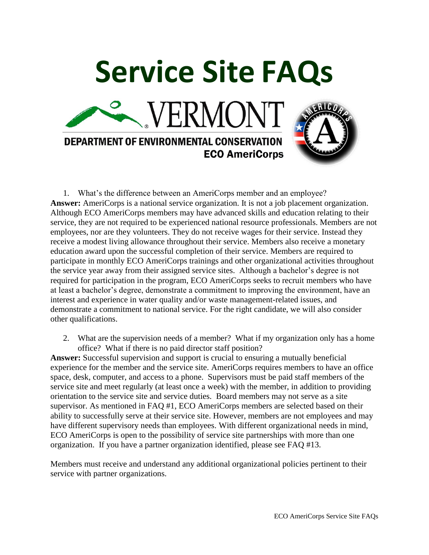

1. What's the difference between an AmeriCorps member and an employee? **Answer:** AmeriCorps is a national service organization. It is not a job placement organization. Although ECO AmeriCorps members may have advanced skills and education relating to their service, they are not required to be experienced national resource professionals. Members are not employees, nor are they volunteers. They do not receive wages for their service. Instead they receive a modest living allowance throughout their service. Members also receive a monetary education award upon the successful completion of their service. Members are required to participate in monthly ECO AmeriCorps trainings and other organizational activities throughout the service year away from their assigned service sites. Although a bachelor's degree is not required for participation in the program, ECO AmeriCorps seeks to recruit members who have at least a bachelor's degree, demonstrate a commitment to improving the environment, have an interest and experience in water quality and/or waste management-related issues, and demonstrate a commitment to national service. For the right candidate, we will also consider other qualifications.

2. What are the supervision needs of a member? What if my organization only has a home office? What if there is no paid director staff position?

**Answer:** Successful supervision and support is crucial to ensuring a mutually beneficial experience for the member and the service site. AmeriCorps requires members to have an office space, desk, computer, and access to a phone. Supervisors must be paid staff members of the service site and meet regularly (at least once a week) with the member, in addition to providing orientation to the service site and service duties. Board members may not serve as a site supervisor. As mentioned in FAQ #1, ECO AmeriCorps members are selected based on their ability to successfully serve at their service site. However, members are not employees and may have different supervisory needs than employees. With different organizational needs in mind, ECO AmeriCorps is open to the possibility of service site partnerships with more than one organization. If you have a partner organization identified, please see FAQ #13.

Members must receive and understand any additional organizational policies pertinent to their service with partner organizations.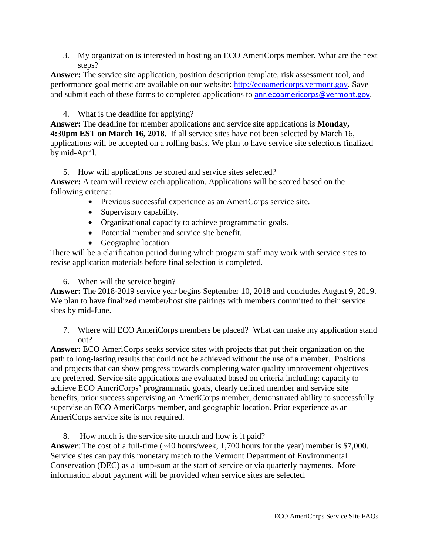3. My organization is interested in hosting an ECO AmeriCorps member. What are the next steps?

**Answer:** The service site application, position description template, risk assessment tool, and performance goal metric are available on our website: [http://ecoamericorps.vermont.gov.](http://ecoamericorps.vermont.gov/) Save and submit each of these forms to completed applications to [anr.ecoamericorps@vermont.gov](mailto:anr.ecoamericorps@vermont.gov).

4. What is the deadline for applying?

**Answer:** The deadline for member applications and service site applications is **Monday, 4:30pm EST on March 16, 2018.** If all service sites have not been selected by March 16, applications will be accepted on a rolling basis. We plan to have service site selections finalized by mid-April.

5. How will applications be scored and service sites selected?

**Answer:** A team will review each application. Applications will be scored based on the following criteria:

- Previous successful experience as an AmeriCorps service site.
- Supervisory capability.
- Organizational capacity to achieve programmatic goals.
- Potential member and service site benefit.
- Geographic location.

There will be a clarification period during which program staff may work with service sites to revise application materials before final selection is completed.

6. When will the service begin?

**Answer:** The 2018-2019 service year begins September 10, 2018 and concludes August 9, 2019. We plan to have finalized member/host site pairings with members committed to their service sites by mid-June.

7. Where will ECO AmeriCorps members be placed? What can make my application stand out?

**Answer:** ECO AmeriCorps seeks service sites with projects that put their organization on the path to long-lasting results that could not be achieved without the use of a member. Positions and projects that can show progress towards completing water quality improvement objectives are preferred. Service site applications are evaluated based on criteria including: capacity to achieve ECO AmeriCorps' programmatic goals, clearly defined member and service site benefits, prior success supervising an AmeriCorps member, demonstrated ability to successfully supervise an ECO AmeriCorps member, and geographic location. Prior experience as an AmeriCorps service site is not required.

8. How much is the service site match and how is it paid?

Answer: The cost of a full-time (~40 hours/week, 1,700 hours for the year) member is \$7,000. Service sites can pay this monetary match to the Vermont Department of Environmental Conservation (DEC) as a lump-sum at the start of service or via quarterly payments. More information about payment will be provided when service sites are selected.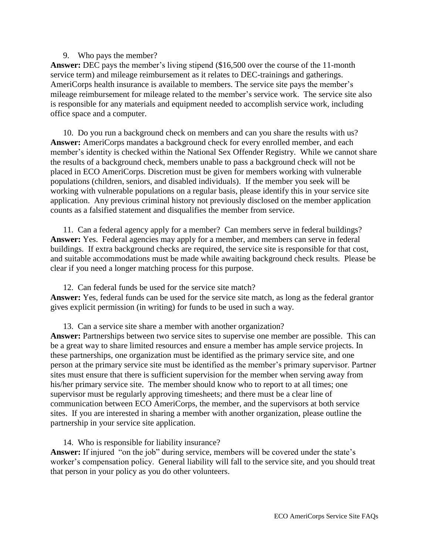### 9. Who pays the member?

**Answer:** DEC pays the member's living stipend (\$16,500 over the course of the 11-month service term) and mileage reimbursement as it relates to DEC-trainings and gatherings. AmeriCorps health insurance is available to members. The service site pays the member's mileage reimbursement for mileage related to the member's service work. The service site also is responsible for any materials and equipment needed to accomplish service work, including office space and a computer.

10. Do you run a background check on members and can you share the results with us? **Answer:** AmeriCorps mandates a background check for every enrolled member, and each member's identity is checked within the National Sex Offender Registry. While we cannot share the results of a background check, members unable to pass a background check will not be placed in ECO AmeriCorps. Discretion must be given for members working with vulnerable populations (children, seniors, and disabled individuals). If the member you seek will be working with vulnerable populations on a regular basis, please identify this in your service site application. Any previous criminal history not previously disclosed on the member application counts as a falsified statement and disqualifies the member from service.

11. Can a federal agency apply for a member? Can members serve in federal buildings? Answer: Yes. Federal agencies may apply for a member, and members can serve in federal buildings. If extra background checks are required, the service site is responsible for that cost, and suitable accommodations must be made while awaiting background check results. Please be clear if you need a longer matching process for this purpose.

12. Can federal funds be used for the service site match? **Answer:** Yes, federal funds can be used for the service site match, as long as the federal grantor gives explicit permission (in writing) for funds to be used in such a way.

13. Can a service site share a member with another organization? **Answer:** Partnerships between two service sites to supervise one member are possible. This can be a great way to share limited resources and ensure a member has ample service projects. In these partnerships, one organization must be identified as the primary service site, and one person at the primary service site must be identified as the member's primary supervisor. Partner sites must ensure that there is sufficient supervision for the member when serving away from his/her primary service site. The member should know who to report to at all times; one supervisor must be regularly approving timesheets; and there must be a clear line of communication between ECO AmeriCorps, the member, and the supervisors at both service sites. If you are interested in sharing a member with another organization, please outline the partnership in your service site application.

14. Who is responsible for liability insurance? **Answer:** If injured "on the job" during service, members will be covered under the state's worker's compensation policy. General liability will fall to the service site, and you should treat that person in your policy as you do other volunteers.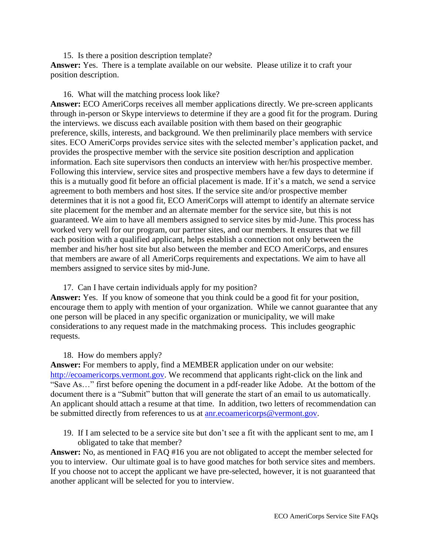## 15. Is there a position description template?

**Answer:** Yes. There is a template available on our website. Please utilize it to craft your position description.

## 16. What will the matching process look like?

**Answer:** ECO AmeriCorps receives all member applications directly. We pre-screen applicants through in-person or Skype interviews to determine if they are a good fit for the program. During the interviews. we discuss each available position with them based on their geographic preference, skills, interests, and background. We then preliminarily place members with service sites. ECO AmeriCorps provides service sites with the selected member's application packet, and provides the prospective member with the service site position description and application information. Each site supervisors then conducts an interview with her/his prospective member. Following this interview, service sites and prospective members have a few days to determine if this is a mutually good fit before an official placement is made. If it's a match, we send a service agreement to both members and host sites. If the service site and/or prospective member determines that it is not a good fit, ECO AmeriCorps will attempt to identify an alternate service site placement for the member and an alternate member for the service site, but this is not guaranteed. We aim to have all members assigned to service sites by mid-June. This process has worked very well for our program, our partner sites, and our members. It ensures that we fill each position with a qualified applicant, helps establish a connection not only between the member and his/her host site but also between the member and ECO AmeriCorps, and ensures that members are aware of all AmeriCorps requirements and expectations. We aim to have all members assigned to service sites by mid-June.

# 17. Can I have certain individuals apply for my position?

**Answer:** Yes. If you know of someone that you think could be a good fit for your position, encourage them to apply with mention of your organization. While we cannot guarantee that any one person will be placed in any specific organization or municipality, we will make considerations to any request made in the matchmaking process. This includes geographic requests.

# 18. How do members apply?

**Answer:** For members to apply, find a MEMBER application under on our website: [http://ecoamericorps.vermont.gov.](http://ecoamericorps.vermont.gov/) We recommend that applicants right-click on the link and "Save As…" first before opening the document in a pdf-reader like Adobe. At the bottom of the document there is a "Submit" button that will generate the start of an email to us automatically. An applicant should attach a resume at that time. In addition, two letters of recommendation can be submitted directly from references to us at [anr.ecoamericorps@vermont.gov.](mailto:anr.ecoamericorps@vermont.gov)

19. If I am selected to be a service site but don't see a fit with the applicant sent to me, am I obligated to take that member?

**Answer:** No, as mentioned in FAQ #16 you are not obligated to accept the member selected for you to interview. Our ultimate goal is to have good matches for both service sites and members. If you choose not to accept the applicant we have pre-selected, however, it is not guaranteed that another applicant will be selected for you to interview.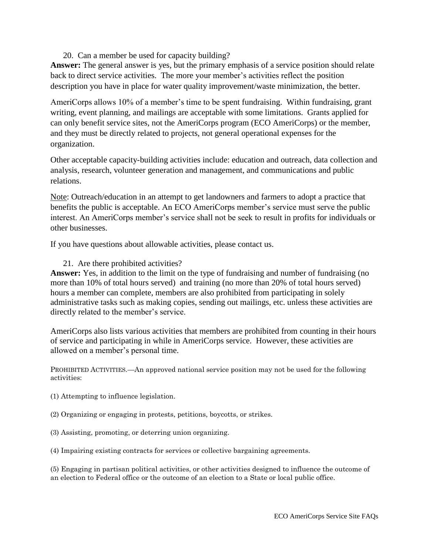20. Can a member be used for capacity building?

**Answer:** The general answer is yes, but the primary emphasis of a service position should relate back to direct service activities. The more your member's activities reflect the position description you have in place for water quality improvement/waste minimization, the better.

AmeriCorps allows 10% of a member's time to be spent fundraising. Within fundraising, grant writing, event planning, and mailings are acceptable with some limitations. Grants applied for can only benefit service sites, not the AmeriCorps program (ECO AmeriCorps) or the member, and they must be directly related to projects, not general operational expenses for the organization.

Other acceptable capacity-building activities include: education and outreach, data collection and analysis, research, volunteer generation and management, and communications and public relations.

Note: Outreach/education in an attempt to get landowners and farmers to adopt a practice that benefits the public is acceptable. An ECO AmeriCorps member's service must serve the public interest. An AmeriCorps member's service shall not be seek to result in profits for individuals or other businesses.

If you have questions about allowable activities, please contact us.

21. Are there prohibited activities?

**Answer:** Yes, in addition to the limit on the type of fundraising and number of fundraising (no more than 10% of total hours served) and training (no more than 20% of total hours served) hours a member can complete, members are also prohibited from participating in solely administrative tasks such as making copies, sending out mailings, etc. unless these activities are directly related to the member's service.

AmeriCorps also lists various activities that members are prohibited from counting in their hours of service and participating in while in AmeriCorps service. However, these activities are allowed on a member's personal time.

PROHIBITED ACTIVITIES.—An approved national service position may not be used for the following activities:

(1) Attempting to influence legislation.

(2) Organizing or engaging in protests, petitions, boycotts, or strikes.

(3) Assisting, promoting, or deterring union organizing.

(4) Impairing existing contracts for services or collective bargaining agreements.

(5) Engaging in partisan political activities, or other activities designed to influence the outcome of an election to Federal office or the outcome of an election to a State or local public office.